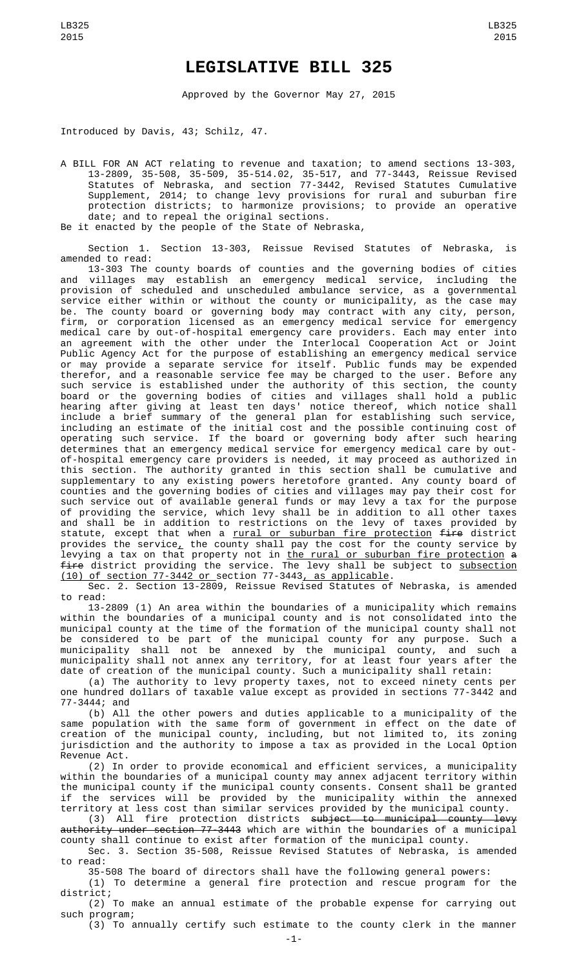## **LEGISLATIVE BILL 325**

Approved by the Governor May 27, 2015

Introduced by Davis, 43; Schilz, 47.

A BILL FOR AN ACT relating to revenue and taxation; to amend sections 13-303, 13-2809, 35-508, 35-509, 35-514.02, 35-517, and 77-3443, Reissue Revised Statutes of Nebraska, and section 77-3442, Revised Statutes Cumulative Supplement, 2014; to change levy provisions for rural and suburban fire protection districts; to harmonize provisions; to provide an operative date; and to repeal the original sections. Be it enacted by the people of the State of Nebraska,

Section 1. Section 13-303, Reissue Revised Statutes of Nebraska, is amended to read:

13-303 The county boards of counties and the governing bodies of cities and villages may establish an emergency medical service, including the provision of scheduled and unscheduled ambulance service, as a governmental service either within or without the county or municipality, as the case may be. The county board or governing body may contract with any city, person, firm, or corporation licensed as an emergency medical service for emergency medical care by out-of-hospital emergency care providers. Each may enter into an agreement with the other under the Interlocal Cooperation Act or Joint Public Agency Act for the purpose of establishing an emergency medical service or may provide a separate service for itself. Public funds may be expended therefor, and a reasonable service fee may be charged to the user. Before any such service is established under the authority of this section, the county board or the governing bodies of cities and villages shall hold a public hearing after giving at least ten days' notice thereof, which notice shall include a brief summary of the general plan for establishing such service, including an estimate of the initial cost and the possible continuing cost of operating such service. If the board or governing body after such hearing determines that an emergency medical service for emergency medical care by outof-hospital emergency care providers is needed, it may proceed as authorized in this section. The authority granted in this section shall be cumulative and supplementary to any existing powers heretofore granted. Any county board of counties and the governing bodies of cities and villages may pay their cost for such service out of available general funds or may levy a tax for the purpose of providing the service, which levy shall be in addition to all other taxes and shall be in addition to restrictions on the levy of taxes provided by statute, except that when a <u>rural or suburban fire protection</u> <del>fire</del> district provides the service, the county shall pay the cost for the county service by levying a tax on that property not in <u>the rural or suburban fire protection</u> <del>a</del> fire district providing the service. The levy shall be subject to subsection (10) of section 77-3442 or section 77-3443, as applicable.

Sec. 2. Section 13-2809, Reissue Revised Statutes of Nebraska, is amended to read:

13-2809 (1) An area within the boundaries of a municipality which remains within the boundaries of a municipal county and is not consolidated into the municipal county at the time of the formation of the municipal county shall not be considered to be part of the municipal county for any purpose. Such a municipality shall not be annexed by the municipal county, and such a municipality shall not annex any territory, for at least four years after the date of creation of the municipal county. Such a municipality shall retain:

(a) The authority to levy property taxes, not to exceed ninety cents per one hundred dollars of taxable value except as provided in sections 77-3442 and 77-3444; and

(b) All the other powers and duties applicable to a municipality of the same population with the same form of government in effect on the date of creation of the municipal county, including, but not limited to, its zoning jurisdiction and the authority to impose a tax as provided in the Local Option Revenue Act.

(2) In order to provide economical and efficient services, a municipality within the boundaries of a municipal county may annex adjacent territory within the municipal county if the municipal county consents. Consent shall be granted if the services will be provided by the municipality within the annexed territory at less cost than similar services provided by the municipal county.

(3) All fire protection districts subject to municipal county levy authority under section 77-3443 which are within the boundaries of a municipal county shall continue to exist after formation of the municipal county.

Sec. 3. Section 35-508, Reissue Revised Statutes of Nebraska, is amended to read:

35-508 The board of directors shall have the following general powers: (1) To determine a general fire protection and rescue program for the

district; (2) To make an annual estimate of the probable expense for carrying out such program;

(3) To annually certify such estimate to the county clerk in the manner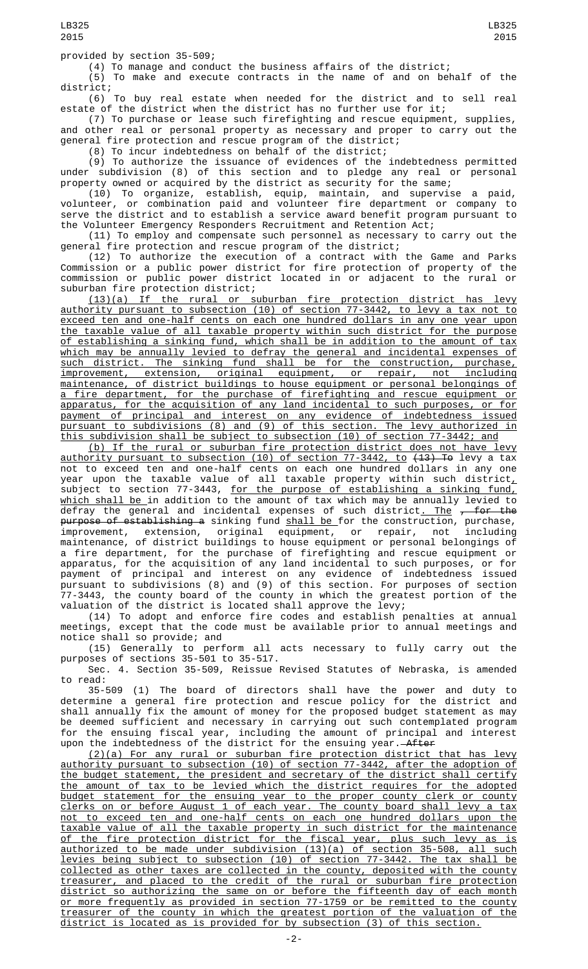provided by section 35-509;

(4) To manage and conduct the business affairs of the district;

(5) To make and execute contracts in the name of and on behalf of the district;

(6) To buy real estate when needed for the district and to sell real estate of the district when the district has no further use for it;

(7) To purchase or lease such firefighting and rescue equipment, supplies, and other real or personal property as necessary and proper to carry out the general fire protection and rescue program of the district;

(8) To incur indebtedness on behalf of the district;

(9) To authorize the issuance of evidences of the indebtedness permitted under subdivision (8) of this section and to pledge any real or personal property owned or acquired by the district as security for the same;

(10) To organize, establish, equip, maintain, and supervise a paid, volunteer, or combination paid and volunteer fire department or company to serve the district and to establish a service award benefit program pursuant to the Volunteer Emergency Responders Recruitment and Retention Act;

(11) To employ and compensate such personnel as necessary to carry out the general fire protection and rescue program of the district;

(12) To authorize the execution of a contract with the Game and Parks Commission or a public power district for fire protection of property of the commission or public power district located in or adjacent to the rural or suburban fire protection district;

(13)(a) If the rural or suburban fire protection district has levy authority pursuant to subsection (10) of section 77-3442, to levy a tax not to exceed ten and one-half cents on each one hundred dollars in any one year upon the taxable value of all taxable property within such district for the purpose of establishing a sinking fund, which shall be in addition to the amount of tax which may be annually levied to defray the general and incidental expenses of such district. The sinking fund shall be for the construction, purchase, improvement, extension, original equipment, or repair, not including maintenance, of district buildings to house equipment or personal belongings of a fire department, for the purchase of firefighting and rescue equipment or apparatus, for the acquisition of any land incidental to such purposes, or for payment of principal and interest on any evidence of indebtedness issued pursuant to subdivisions (8) and (9) of this section. The levy authorized in this subdivision shall be subject to subsection (10) of section 77-3442; and

(b) If the rural or suburban fire protection district does not have levy <u>authority pursuant to subsection (10) of section 77-3442, to <del>(13) To</del> levy a tax</u> not to exceed ten and one-half cents on each one hundred dollars in any one year upon the taxable value of all taxable property within such district $_{\scriptscriptstyle \!\bot}$ subject to section 77-3443, <u>for the purpose of establishing a sinking fund,</u> <u>which shall be </u>in addition to the amount of tax which may be annually levied to defray the general and incidental expenses of such district<u>. The</u> <del>, for the</del> <del>purpose of establishing a</del> sinking fund <u>shall be </u>for the construction, purchase, improvement, extension, original equipment, or repair, not including maintenance, of district buildings to house equipment or personal belongings of a fire department, for the purchase of firefighting and rescue equipment or apparatus, for the acquisition of any land incidental to such purposes, or for payment of principal and interest on any evidence of indebtedness issued pursuant to subdivisions (8) and (9) of this section. For purposes of section 77-3443, the county board of the county in which the greatest portion of the valuation of the district is located shall approve the levy;

(14) To adopt and enforce fire codes and establish penalties at annual meetings, except that the code must be available prior to annual meetings and notice shall so provide; and

(15) Generally to perform all acts necessary to fully carry out the purposes of sections 35-501 to 35-517.

Sec. 4. Section 35-509, Reissue Revised Statutes of Nebraska, is amended to read:

35-509 (1) The board of directors shall have the power and duty to determine a general fire protection and rescue policy for the district and shall annually fix the amount of money for the proposed budget statement as may be deemed sufficient and necessary in carrying out such contemplated program for the ensuing fiscal year, including the amount of principal and interest upon the indebtedness of the district for the ensuing year.—<del>After</del>

(2)(a) For any rural or suburban fire protection district that has levy authority pursuant to subsection (10) of section 77-3442, after the adoption of the budget statement, the president and secretary of the district shall certify the amount of tax to be levied which the district requires for the adopted budget statement for the ensuing year to the proper county clerk or county clerks on or before August 1 of each year. The county board shall levy a tax not to exceed ten and one-half cents on each one hundred dollars upon the taxable value of all the taxable property in such district for the maintenance of the fire protection district for the fiscal year, plus such levy as is authorized to be made under subdivision (13)(a) of section 35-508, all such levies being subject to subsection (10) of section 77-3442. The tax shall be collected as other taxes are collected in the county, deposited with the county treasurer, and placed to the credit of the rural or suburban fire protection district so authorizing the same on or before the fifteenth day of each month or more frequently as provided in section 77-1759 or be remitted to the county treasurer of the county in which the greatest portion of the valuation of the district is located as is provided for by subsection (3) of this section.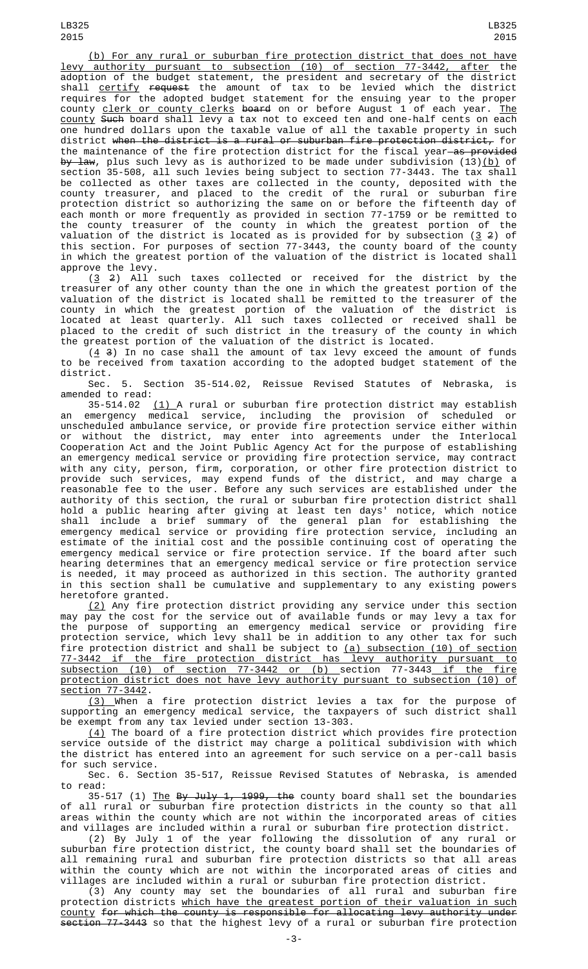(b) For any rural or suburban fire protection district that does not have levy authority pursuant to subsection (10) of section 77-3442, after the adoption of the budget statement, the president and secretary of the district shall <u>certify</u> <del>request</del> the amount of tax to be levied which the district requires for the adopted budget statement for the ensuing year to the proper county <u>clerk or county clerks</u> <del>board</del> on or before August 1 of each year. <u>The</u> county Such board shall levy a tax not to exceed ten and one-half cents on each one hundred dollars upon the taxable value of all the taxable property in such district when the district is a rural or suburban fire protection district, for the maintenance of the fire protection district for the fiscal year as provided <del>by law</del>, plus such levy as is authorized to be made under subdivision (13)<u>(b)</u> of section 35-508, all such levies being subject to section 77-3443. The tax shall be collected as other taxes are collected in the county, deposited with the county treasurer, and placed to the credit of the rural or suburban fire protection district so authorizing the same on or before the fifteenth day of each month or more frequently as provided in section 77-1759 or be remitted to the county treasurer of the county in which the greatest portion of the valuation of the district is located as is provided for by subsection (<u>3</u> 2) of this section. For purposes of section 77-3443, the county board of the county in which the greatest portion of the valuation of the district is located shall approve the levy.

 $(3 \t2)$  All such taxes collected or received for the district by the treasurer of any other county than the one in which the greatest portion of the valuation of the district is located shall be remitted to the treasurer of the county in which the greatest portion of the valuation of the district is located at least quarterly. All such taxes collected or received shall be placed to the credit of such district in the treasury of the county in which the greatest portion of the valuation of the district is located.

 $(4, 3)$  In no case shall the amount of tax levy exceed the amount of funds to be received from taxation according to the adopted budget statement of the district.

Sec. 5. Section 35-514.02, Reissue Revised Statutes of Nebraska, is amended to read:

35-514.02  $(1)$  A rural or suburban fire protection district may establish an emergency medical service, including the provision of scheduled or unscheduled ambulance service, or provide fire protection service either within or without the district, may enter into agreements under the Interlocal Cooperation Act and the Joint Public Agency Act for the purpose of establishing an emergency medical service or providing fire protection service, may contract with any city, person, firm, corporation, or other fire protection district to provide such services, may expend funds of the district, and may charge a reasonable fee to the user. Before any such services are established under the authority of this section, the rural or suburban fire protection district shall hold a public hearing after giving at least ten days' notice, which notice shall include a brief summary of the general plan for establishing the emergency medical service or providing fire protection service, including an estimate of the initial cost and the possible continuing cost of operating the emergency medical service or fire protection service. If the board after such hearing determines that an emergency medical service or fire protection service is needed, it may proceed as authorized in this section. The authority granted in this section shall be cumulative and supplementary to any existing powers heretofore granted.

(2) Any fire protection district providing any service under this section may pay the cost for the service out of available funds or may levy a tax for the purpose of supporting an emergency medical service or providing fire protection service, which levy shall be in addition to any other tax for such fire protection district and shall be subject to (a) subsection (10) of section 77-3442 if the fire protection district has levy authority pursuant to subsection (10) of section 77-3442 or (b) section 77-3443 if the fire protection district does not have levy authority pursuant to subsection (10) of section 77-3442.

(3) When a fire protection district levies a tax for the purpose of supporting an emergency medical service, the taxpayers of such district shall be exempt from any tax levied under section 13-303.

 $(\mathtt{4})$  The board of a fire protection district which provides fire protection service outside of the district may charge a political subdivision with which the district has entered into an agreement for such service on a per-call basis for such service.

Sec. 6. Section 35-517, Reissue Revised Statutes of Nebraska, is amended to read:

35-517 (1) <u>The</u> <del>By July 1, 1999, the</del> county board shall set the boundaries of all rural or suburban fire protection districts in the county so that all areas within the county which are not within the incorporated areas of cities and villages are included within a rural or suburban fire protection district.

(2) By July 1 of the year following the dissolution of any rural or suburban fire protection district, the county board shall set the boundaries of all remaining rural and suburban fire protection districts so that all areas within the county which are not within the incorporated areas of cities and villages are included within a rural or suburban fire protection district.

(3) Any county may set the boundaries of all rural and suburban fire protection districts <u>which have the greatest portion of their valuation in such</u> county for which the county is responsible for allocating levy authority under section 77-3443 so that the highest levy of a rural or suburban fire protection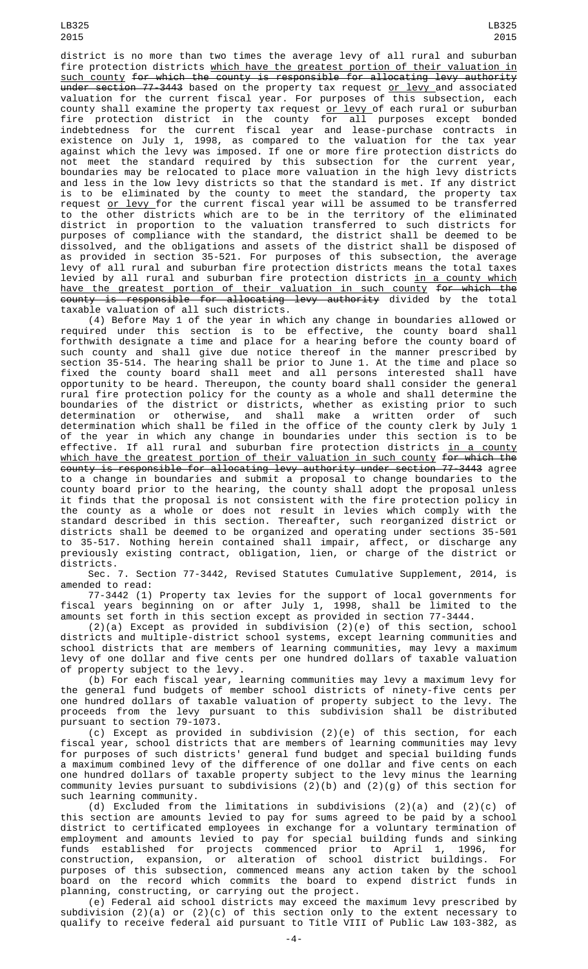district is no more than two times the average levy of all rural and suburban fire protection districts which have the greatest portion of their valuation in such county for which the county is responsible for allocating levy authority <del>under section 77-3443</del> based on the property tax request <u>or levy </u>and associated valuation for the current fiscal year. For purposes of this subsection, each county shall examine the property tax request <u>or levy </u>of each rural or suburban fire protection district in the county for all purposes except bonded indebtedness for the current fiscal year and lease-purchase contracts in existence on July 1, 1998, as compared to the valuation for the tax year against which the levy was imposed. If one or more fire protection districts do not meet the standard required by this subsection for the current year, boundaries may be relocated to place more valuation in the high levy districts and less in the low levy districts so that the standard is met. If any district is to be eliminated by the county to meet the standard, the property tax request or levy for the current fiscal year will be assumed to be transferred to the other districts which are to be in the territory of the eliminated district in proportion to the valuation transferred to such districts for purposes of compliance with the standard, the district shall be deemed to be dissolved, and the obligations and assets of the district shall be disposed of as provided in section 35-521. For purposes of this subsection, the average levy of all rural and suburban fire protection districts means the total taxes levied by all rural and suburban fire protection districts in a county which have the greatest portion of their valuation in such county for which the county is responsible for allocating levy authority divided by the total taxable valuation of all such districts.

(4) Before May 1 of the year in which any change in boundaries allowed or required under this section is to be effective, the county board shall forthwith designate a time and place for a hearing before the county board of such county and shall give due notice thereof in the manner prescribed by section 35-514. The hearing shall be prior to June 1. At the time and place so fixed the county board shall meet and all persons interested shall have opportunity to be heard. Thereupon, the county board shall consider the general rural fire protection policy for the county as a whole and shall determine the boundaries of the district or districts, whether as existing prior to such determination or otherwise, and shall make a written order of such determination which shall be filed in the office of the county clerk by July 1 of the year in which any change in boundaries under this section is to be effective. If all rural and suburban fire protection districts <u>in a county</u> which have the greatest portion of their valuation in such county for which the county is responsible for allocating levy authority under section 77-3443 agree to a change in boundaries and submit a proposal to change boundaries to the county board prior to the hearing, the county shall adopt the proposal unless it finds that the proposal is not consistent with the fire protection policy in the county as a whole or does not result in levies which comply with the standard described in this section. Thereafter, such reorganized district or districts shall be deemed to be organized and operating under sections 35-501 to 35-517. Nothing herein contained shall impair, affect, or discharge any previously existing contract, obligation, lien, or charge of the district or districts.

Sec. 7. Section 77-3442, Revised Statutes Cumulative Supplement, 2014, is amended to read:

77-3442 (1) Property tax levies for the support of local governments for fiscal years beginning on or after July 1, 1998, shall be limited to the amounts set forth in this section except as provided in section 77-3444.

(2)(a) Except as provided in subdivision (2)(e) of this section, school districts and multiple-district school systems, except learning communities and school districts that are members of learning communities, may levy a maximum levy of one dollar and five cents per one hundred dollars of taxable valuation of property subject to the levy.

(b) For each fiscal year, learning communities may levy a maximum levy for the general fund budgets of member school districts of ninety-five cents per one hundred dollars of taxable valuation of property subject to the levy. The proceeds from the levy pursuant to this subdivision shall be distributed pursuant to section 79-1073.

(c) Except as provided in subdivision (2)(e) of this section, for each fiscal year, school districts that are members of learning communities may levy for purposes of such districts' general fund budget and special building funds a maximum combined levy of the difference of one dollar and five cents on each one hundred dollars of taxable property subject to the levy minus the learning community levies pursuant to subdivisions (2)(b) and (2)(g) of this section for such learning community.

(d) Excluded from the limitations in subdivisions (2)(a) and (2)(c) of this section are amounts levied to pay for sums agreed to be paid by a school district to certificated employees in exchange for a voluntary termination of employment and amounts levied to pay for special building funds and sinking funds established for projects commenced prior to April 1, 1996, for construction, expansion, or alteration of school district buildings. For purposes of this subsection, commenced means any action taken by the school board on the record which commits the board to expend district funds in planning, constructing, or carrying out the project.

(e) Federal aid school districts may exceed the maximum levy prescribed by subdivision (2)(a) or (2)(c) of this section only to the extent necessary to qualify to receive federal aid pursuant to Title VIII of Public Law 103-382, as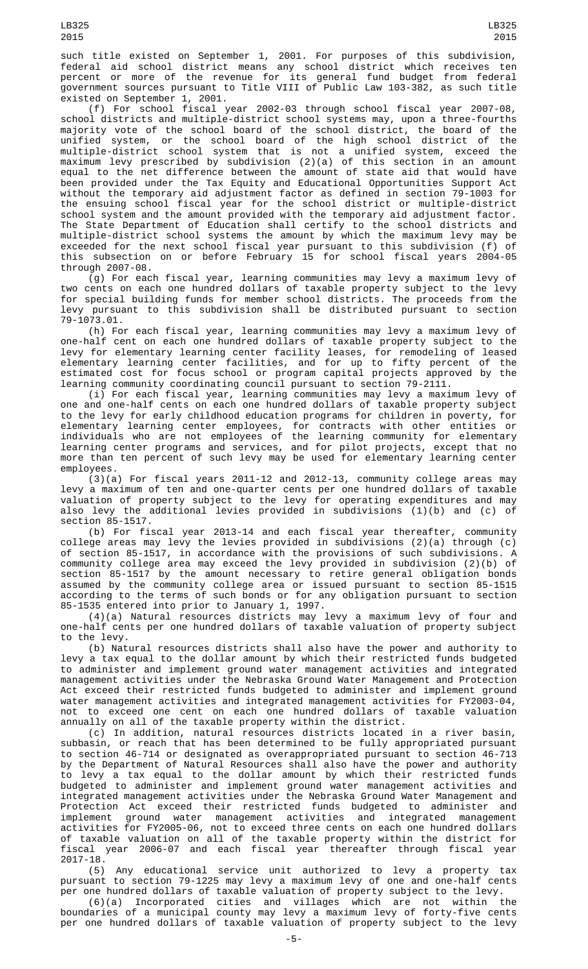such title existed on September 1, 2001. For purposes of this subdivision, federal aid school district means any school district which receives ten percent or more of the revenue for its general fund budget from federal government sources pursuant to Title VIII of Public Law 103-382, as such title existed on September 1, 2001.

(f) For school fiscal year 2002-03 through school fiscal year 2007-08, school districts and multiple-district school systems may, upon a three-fourths majority vote of the school board of the school district, the board of the unified system, or the school board of the high school district of the multiple-district school system that is not a unified system, exceed the maximum levy prescribed by subdivision (2)(a) of this section in an amount equal to the net difference between the amount of state aid that would have been provided under the Tax Equity and Educational Opportunities Support Act without the temporary aid adjustment factor as defined in section 79-1003 for the ensuing school fiscal year for the school district or multiple-district school system and the amount provided with the temporary aid adjustment factor. The State Department of Education shall certify to the school districts and multiple-district school systems the amount by which the maximum levy may be exceeded for the next school fiscal year pursuant to this subdivision (f) of this subsection on or before February 15 for school fiscal years 2004-05 through 2007-08.

(g) For each fiscal year, learning communities may levy a maximum levy of two cents on each one hundred dollars of taxable property subject to the levy for special building funds for member school districts. The proceeds from the levy pursuant to this subdivision shall be distributed pursuant to section 79-1073.01.

(h) For each fiscal year, learning communities may levy a maximum levy of one-half cent on each one hundred dollars of taxable property subject to the levy for elementary learning center facility leases, for remodeling of leased elementary learning center facilities, and for up to fifty percent of the estimated cost for focus school or program capital projects approved by the learning community coordinating council pursuant to section 79-2111.

(i) For each fiscal year, learning communities may levy a maximum levy of one and one-half cents on each one hundred dollars of taxable property subject to the levy for early childhood education programs for children in poverty, for elementary learning center employees, for contracts with other entities or individuals who are not employees of the learning community for elementary learning center programs and services, and for pilot projects, except that no more than ten percent of such levy may be used for elementary learning center employees.

(3)(a) For fiscal years 2011-12 and 2012-13, community college areas may levy a maximum of ten and one-quarter cents per one hundred dollars of taxable valuation of property subject to the levy for operating expenditures and may also levy the additional levies provided in subdivisions (1)(b) and (c) of section 85-1517.

(b) For fiscal year 2013-14 and each fiscal year thereafter, community college areas may levy the levies provided in subdivisions (2)(a) through (c) of section 85-1517, in accordance with the provisions of such subdivisions. A community college area may exceed the levy provided in subdivision (2)(b) of section 85-1517 by the amount necessary to retire general obligation bonds assumed by the community college area or issued pursuant to section 85-1515 according to the terms of such bonds or for any obligation pursuant to section 85-1535 entered into prior to January 1, 1997.

(4)(a) Natural resources districts may levy a maximum levy of four and one-half cents per one hundred dollars of taxable valuation of property subject to the levy.

(b) Natural resources districts shall also have the power and authority to levy a tax equal to the dollar amount by which their restricted funds budgeted to administer and implement ground water management activities and integrated management activities under the Nebraska Ground Water Management and Protection Act exceed their restricted funds budgeted to administer and implement ground water management activities and integrated management activities for FY2003-04, not to exceed one cent on each one hundred dollars of taxable valuation annually on all of the taxable property within the district.

(c) In addition, natural resources districts located in a river basin, subbasin, or reach that has been determined to be fully appropriated pursuant to section 46-714 or designated as overappropriated pursuant to section 46-713 by the Department of Natural Resources shall also have the power and authority to levy a tax equal to the dollar amount by which their restricted funds budgeted to administer and implement ground water management activities and integrated management activities under the Nebraska Ground Water Management and Protection Act exceed their restricted funds budgeted to administer and implement ground water management activities and integrated management activities for FY2005-06, not to exceed three cents on each one hundred dollars of taxable valuation on all of the taxable property within the district for fiscal year 2006-07 and each fiscal year thereafter through fiscal year 2017-18.

(5) Any educational service unit authorized to levy a property tax pursuant to section 79-1225 may levy a maximum levy of one and one-half cents per one hundred dollars of taxable valuation of property subject to the levy.

(6)(a) Incorporated cities and villages which are not within the boundaries of a municipal county may levy a maximum levy of forty-five cents per one hundred dollars of taxable valuation of property subject to the levy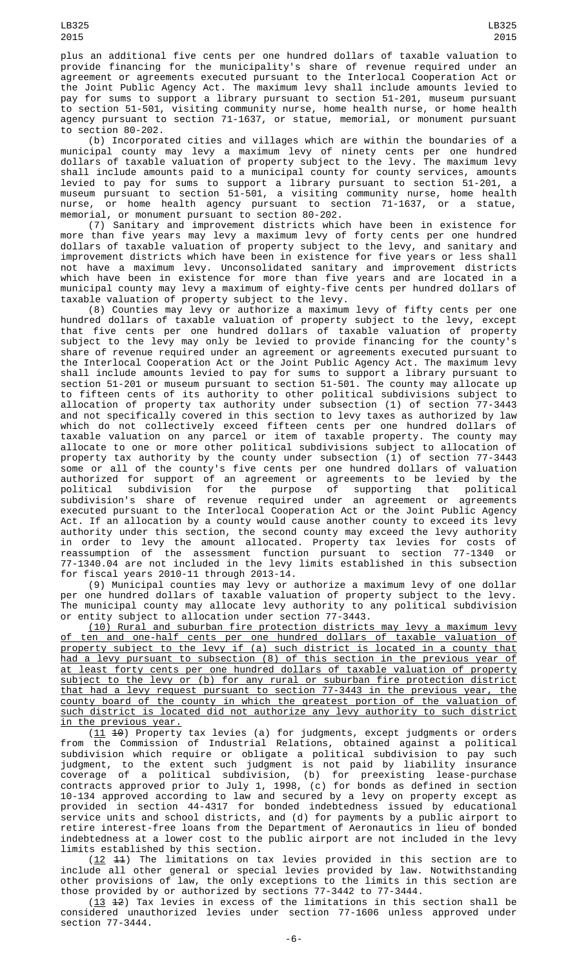plus an additional five cents per one hundred dollars of taxable valuation to provide financing for the municipality's share of revenue required under an agreement or agreements executed pursuant to the Interlocal Cooperation Act or the Joint Public Agency Act. The maximum levy shall include amounts levied to pay for sums to support a library pursuant to section 51-201, museum pursuant to section 51-501, visiting community nurse, home health nurse, or home health agency pursuant to section 71-1637, or statue, memorial, or monument pursuant to section 80-202.

(b) Incorporated cities and villages which are within the boundaries of a municipal county may levy a maximum levy of ninety cents per one hundred dollars of taxable valuation of property subject to the levy. The maximum levy shall include amounts paid to a municipal county for county services, amounts levied to pay for sums to support a library pursuant to section 51-201, a museum pursuant to section 51-501, a visiting community nurse, home health nurse, or home health agency pursuant to section 71-1637, or a statue, memorial, or monument pursuant to section 80-202.

(7) Sanitary and improvement districts which have been in existence for more than five years may levy a maximum levy of forty cents per one hundred dollars of taxable valuation of property subject to the levy, and sanitary and improvement districts which have been in existence for five years or less shall not have a maximum levy. Unconsolidated sanitary and improvement districts which have been in existence for more than five years and are located in a municipal county may levy a maximum of eighty-five cents per hundred dollars of taxable valuation of property subject to the levy.

(8) Counties may levy or authorize a maximum levy of fifty cents per one hundred dollars of taxable valuation of property subject to the levy, except that five cents per one hundred dollars of taxable valuation of property subject to the levy may only be levied to provide financing for the county's share of revenue required under an agreement or agreements executed pursuant to the Interlocal Cooperation Act or the Joint Public Agency Act. The maximum levy shall include amounts levied to pay for sums to support a library pursuant to section 51-201 or museum pursuant to section 51-501. The county may allocate up to fifteen cents of its authority to other political subdivisions subject to allocation of property tax authority under subsection (1) of section 77-3443 and not specifically covered in this section to levy taxes as authorized by law which do not collectively exceed fifteen cents per one hundred dollars of taxable valuation on any parcel or item of taxable property. The county may allocate to one or more other political subdivisions subject to allocation of property tax authority by the county under subsection (1) of section 77-3443 some or all of the county's five cents per one hundred dollars of valuation authorized for support of an agreement or agreements to be levied by the political subdivision for the purpose of supporting that political subdivision's share of revenue required under an agreement or agreements executed pursuant to the Interlocal Cooperation Act or the Joint Public Agency Act. If an allocation by a county would cause another county to exceed its levy authority under this section, the second county may exceed the levy authority in order to levy the amount allocated. Property tax levies for costs of reassumption of the assessment function pursuant to section 77-1340 or 77-1340.04 are not included in the levy limits established in this subsection for fiscal years 2010-11 through 2013-14.

(9) Municipal counties may levy or authorize a maximum levy of one dollar per one hundred dollars of taxable valuation of property subject to the levy. The municipal county may allocate levy authority to any political subdivision or entity subject to allocation under section 77-3443.

(10) Rural and suburban fire protection districts may levy a maximum levy of ten and one-half cents per one hundred dollars of taxable valuation of property subject to the levy if (a) such district is located in a county that had a levy pursuant to subsection (8) of this section in the previous year of at least forty cents per one hundred dollars of taxable valuation of property subject to the levy or (b) for any rural or suburban fire protection district that had a levy request pursuant to section 77-3443 in the previous year, the county board of the county in which the greatest portion of the valuation of such district is located did not authorize any levy authority to such district in the previous year.

 $(11 \t 10)$  Property tax levies (a) for judgments, except judgments or orders from the Commission of Industrial Relations, obtained against a political subdivision which require or obligate a political subdivision to pay such judgment, to the extent such judgment is not paid by liability insurance coverage of a political subdivision, (b) for preexisting lease-purchase contracts approved prior to July 1, 1998, (c) for bonds as defined in section 10-134 approved according to law and secured by a levy on property except as provided in section 44-4317 for bonded indebtedness issued by educational service units and school districts, and (d) for payments by a public airport to retire interest-free loans from the Department of Aeronautics in lieu of bonded indebtedness at a lower cost to the public airport are not included in the levy limits established by this section.

(12 11) The limitations on tax levies provided in this section are to include all other general or special levies provided by law. Notwithstanding other provisions of law, the only exceptions to the limits in this section are those provided by or authorized by sections 77-3442 to 77-3444.

 $(13 \t42)$  Tax levies in excess of the limitations in this section shall be considered unauthorized levies under section 77-1606 unless approved under section 77-3444.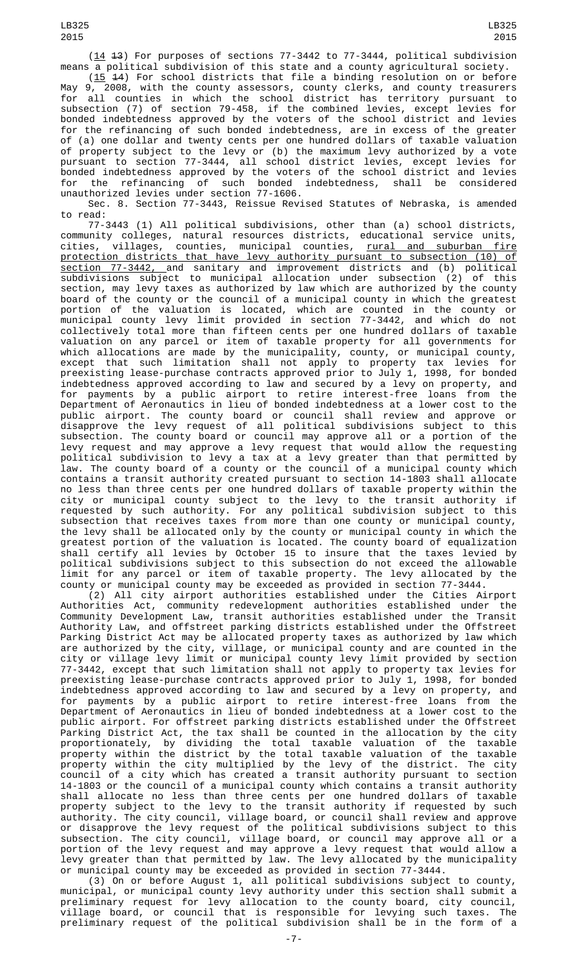(14 13) For purposes of sections 77-3442 to 77-3444, political subdivision means a political subdivision of this state and a county agricultural society.

 $(15$  44) For school districts that file a binding resolution on or before May 9, 2008, with the county assessors, county clerks, and county treasurers for all counties in which the school district has territory pursuant to subsection (7) of section 79-458, if the combined levies, except levies for bonded indebtedness approved by the voters of the school district and levies for the refinancing of such bonded indebtedness, are in excess of the greater of (a) one dollar and twenty cents per one hundred dollars of taxable valuation of property subject to the levy or (b) the maximum levy authorized by a vote pursuant to section 77-3444, all school district levies, except levies for bonded indebtedness approved by the voters of the school district and levies for the refinancing of such bonded indebtedness, shall be considered unauthorized levies under section 77-1606.

Sec. 8. Section 77-3443, Reissue Revised Statutes of Nebraska, is amended to read:

77-3443 (1) All political subdivisions, other than (a) school districts, community colleges, natural resources districts, educational service units, cities, villages, counties, municipal counties, <u>rural and suburban fire</u> protection districts that have levy authority pursuant to subsection (10) of section 77-3442, and sanitary and improvement districts and (b) political subdivisions subject to municipal allocation under subsection (2) of this section, may levy taxes as authorized by law which are authorized by the county board of the county or the council of a municipal county in which the greatest portion of the valuation is located, which are counted in the county or municipal county levy limit provided in section 77-3442, and which do not collectively total more than fifteen cents per one hundred dollars of taxable valuation on any parcel or item of taxable property for all governments for which allocations are made by the municipality, county, or municipal county, except that such limitation shall not apply to property tax levies for preexisting lease-purchase contracts approved prior to July 1, 1998, for bonded indebtedness approved according to law and secured by a levy on property, and for payments by a public airport to retire interest-free loans from the Department of Aeronautics in lieu of bonded indebtedness at a lower cost to the public airport. The county board or council shall review and approve or disapprove the levy request of all political subdivisions subject to this subsection. The county board or council may approve all or a portion of the levy request and may approve a levy request that would allow the requesting political subdivision to levy a tax at a levy greater than that permitted by law. The county board of a county or the council of a municipal county which contains a transit authority created pursuant to section 14-1803 shall allocate no less than three cents per one hundred dollars of taxable property within the city or municipal county subject to the levy to the transit authority if requested by such authority. For any political subdivision subject to this subsection that receives taxes from more than one county or municipal county, the levy shall be allocated only by the county or municipal county in which the greatest portion of the valuation is located. The county board of equalization shall certify all levies by October 15 to insure that the taxes levied by political subdivisions subject to this subsection do not exceed the allowable limit for any parcel or item of taxable property. The levy allocated by the county or municipal county may be exceeded as provided in section 77-3444.

(2) All city airport authorities established under the Cities Airport Authorities Act, community redevelopment authorities established under the Community Development Law, transit authorities established under the Transit Authority Law, and offstreet parking districts established under the Offstreet Parking District Act may be allocated property taxes as authorized by law which are authorized by the city, village, or municipal county and are counted in the city or village levy limit or municipal county levy limit provided by section 77-3442, except that such limitation shall not apply to property tax levies for preexisting lease-purchase contracts approved prior to July 1, 1998, for bonded indebtedness approved according to law and secured by a levy on property, and for payments by a public airport to retire interest-free loans from the Department of Aeronautics in lieu of bonded indebtedness at a lower cost to the public airport. For offstreet parking districts established under the Offstreet Parking District Act, the tax shall be counted in the allocation by the city proportionately, by dividing the total taxable valuation of the taxable property within the district by the total taxable valuation of the taxable property within the city multiplied by the levy of the district. The city council of a city which has created a transit authority pursuant to section 14-1803 or the council of a municipal county which contains a transit authority shall allocate no less than three cents per one hundred dollars of taxable property subject to the levy to the transit authority if requested by such authority. The city council, village board, or council shall review and approve or disapprove the levy request of the political subdivisions subject to this subsection. The city council, village board, or council may approve all or a portion of the levy request and may approve a levy request that would allow a levy greater than that permitted by law. The levy allocated by the municipality or municipal county may be exceeded as provided in section 77-3444.

(3) On or before August 1, all political subdivisions subject to county, municipal, or municipal county levy authority under this section shall submit a preliminary request for levy allocation to the county board, city council, village board, or council that is responsible for levying such taxes. The preliminary request of the political subdivision shall be in the form of a